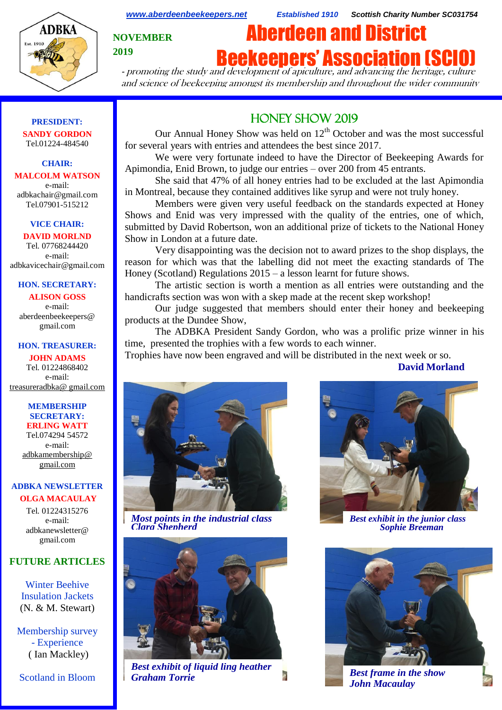

*[www.aberdeenbeekeepers.net](http://www.aberdeenbeekeepers.net/) Established 1910 Scottish Charity Number SC031754*

**NOVEMBER 2019**

# Aberdeen and District **Beekeepers' Association (SCIO)**

- promoting the study and development of apiculture, and advancing the heritage, culture and science of beekeeping amongst its membership and throughout the wider community

#### **PRESIDENT: SANDY GORDON** Tel.01224-484540

#### **CHAIR: MALCOLM WATSON** e-mail:

adbkachair@gmail.com Tel.07901-515212

# **VICE CHAIR:**

**DAVID MORLND** Tel. 07768244420 e-mail: adbkavicechair@gmail.com

#### **HON. SECRETARY:**

**ALISON GOSS**  e-mail: aberdeenbeekeepers@ gmail.com

#### **HON. TREASURER:**

**JOHN ADAMS** Tel. 01224868402 e-mail: [treasureradbka@ gmail.com](https://e.mail.ru/compose/?mailto=mailto%3atreasureradbka@gmail.com)

#### **MEMBERSHIP SECRETARY: ERLING WATT**

Tel.074294 54572 e-mail: [adbkamembership@](mailto:watterlingg@aol.com) [gmail.com](mailto:watterlingg@aol.com)

#### **ADBKA NEWSLETTER OLGA MACAULAY**

Tel. 01224315276 e-mail: adbkanewsletter@ gmail.com

# **FUTURE ARTICLES**

Winter Beehive Insulation Jackets (N. & M. Stewart)

Membership survey - Experience ( Ian Mackley)

Scotland in Bloom

# HONEY SHOW 2019

Our Annual Honey Show was held on  $12<sup>th</sup>$  October and was the most successful for several years with entries and attendees the best since 2017.

We were very fortunate indeed to have the Director of Beekeeping Awards for Apimondia, Enid Brown, to judge our entries – over 200 from 45 entrants.

She said that 47% of all honey entries had to be excluded at the last Apimondia in Montreal, because they contained additives like syrup and were not truly honey.

Members were given very useful feedback on the standards expected at Honey Shows and Enid was very impressed with the quality of the entries, one of which, submitted by David Robertson, won an additional prize of tickets to the National Honey Show in London at a future date.

Very disappointing was the decision not to award prizes to the shop displays, the reason for which was that the labelling did not meet the exacting standards of The Honey (Scotland) Regulations 2015 – a lesson learnt for future shows.

The artistic section is worth a mention as all entries were outstanding and the handicrafts section was won with a skep made at the recent skep workshop!

Our judge suggested that members should enter their honey and beekeeping products at the Dundee Show,

The ADBKA President Sandy Gordon, who was a prolific prize winner in his time, presented the trophies with a few words to each winner.

Trophies have now been engraved and will be distributed in the next week or so.

**David Morland**



*Most points in the industrial class Clara Shepherd*



*Best exhibit of liquid ling heather Graham Torrie Best frame in the show*



*Best exhibit in the junior class Sophie Breeman*



*John Macaulay*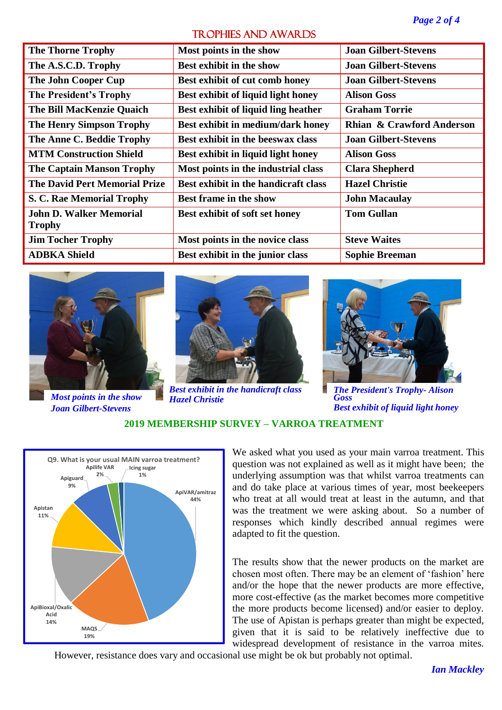# TROPHIES AND AWARDS

| <b>The Thorne Trophy</b>             | Most points in the show              | <b>Joan Gilbert-Stevens</b> |
|--------------------------------------|--------------------------------------|-----------------------------|
| The A.S.C.D. Trophy                  | <b>Best exhibit in the show</b>      | <b>Joan Gilbert-Stevens</b> |
| The John Cooper Cup                  | Best exhibit of cut comb honey       | <b>Joan Gilbert-Stevens</b> |
| <b>The President's Trophy</b>        | Best exhibit of liquid light honey   | <b>Alison Goss</b>          |
| <b>The Bill MacKenzie Quaich</b>     | Best exhibit of liquid ling heather  | <b>Graham Torrie</b>        |
| <b>The Henry Simpson Trophy</b>      | Best exhibit in medium/dark honey    | Rhian & Crawford Anderson   |
| The Anne C. Beddie Trophy            | Best exhibit in the beeswax class    | <b>Joan Gilbert-Stevens</b> |
| <b>MTM Construction Shield</b>       | Best exhibit in liquid light honey   | <b>Alison Goss</b>          |
| <b>The Captain Manson Trophy</b>     | Most points in the industrial class  | <b>Clara Shepherd</b>       |
| <b>The David Pert Memorial Prize</b> | Best exhibit in the handicraft class | <b>Hazel Christie</b>       |
| S. C. Rae Memorial Trophy            | <b>Best frame in the show</b>        | <b>John Macaulay</b>        |
| <b>John D. Walker Memorial</b>       | Best exhibit of soft set honey       | <b>Tom Gullan</b>           |
| <b>Trophy</b>                        |                                      |                             |
| <b>Jim Tocher Trophy</b>             | Most points in the novice class      | <b>Steve Waites</b>         |
| <b>ADBKA Shield</b>                  | Best exhibit in the junior class     | <b>Sophie Breeman</b>       |









*The President's Trophy- Alison Goss Best exhibit of liquid light honey*

**2019 MEMBERSHIP SURVEY – VARROA TREATMENT**

*Hazel Christie*



We asked what you used as your main varroa treatment. This question was not explained as well as it might have been; the underlying assumption was that whilst varroa treatments can and do take place at various times of year, most beekeepers who treat at all would treat at least in the autumn, and that was the treatment we were asking about. So a number of responses which kindly described annual regimes were adapted to fit the question.

The results show that the newer products on the market are chosen most often. There may be an element of 'fashion' here and/or the hope that the newer products are more effective, more cost-effective (as the market becomes more competitive the more products become licensed) and/or easier to deploy. The use of Apistan is perhaps greater than might be expected, given that it is said to be relatively ineffective due to widespread development of resistance in the varroa mites.

However, resistance does vary and occasional use might be ok but probably not optimal.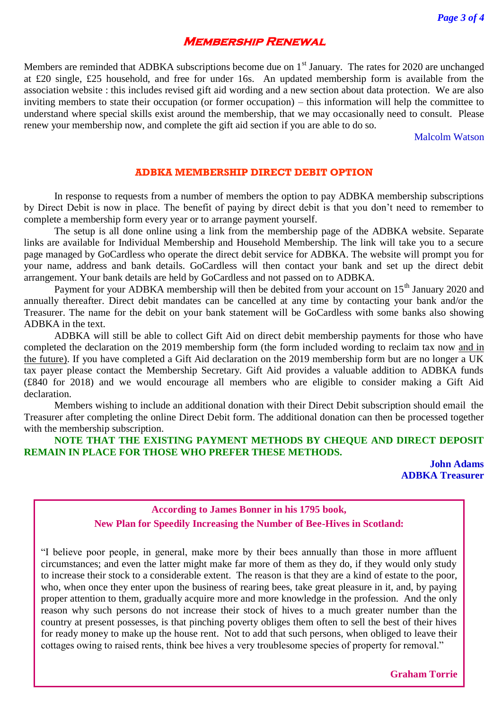# **Membership Renewal**

Members are reminded that ADBKA subscriptions become due on 1<sup>st</sup> January. The rates for 2020 are unchanged at £20 single, £25 household, and free for under 16s. An updated membership form is available from the association website : this includes revised gift aid wording and a new section about data protection. We are also inviting members to state their occupation (or former occupation) – this information will help the committee to understand where special skills exist around the membership, that we may occasionally need to consult. Please renew your membership now, and complete the gift aid section if you are able to do so.

Malcolm Watson

#### **ADBKA MEMBERSHIP DIRECT DEBIT OPTION**

In response to requests from a number of members the option to pay ADBKA membership subscriptions by Direct Debit is now in place. The benefit of paying by direct debit is that you don't need to remember to complete a membership form every year or to arrange payment yourself.

The setup is all done online using a link from the membership page of the ADBKA website. Separate links are available for Individual Membership and Household Membership. The link will take you to a secure page managed by GoCardless who operate the direct debit service for ADBKA. The website will prompt you for your name, address and bank details. GoCardless will then contact your bank and set up the direct debit arrangement. Your bank details are held by GoCardless and not passed on to ADBKA.

Payment for your ADBKA membership will then be debited from your account on 15<sup>th</sup> January 2020 and annually thereafter. Direct debit mandates can be cancelled at any time by contacting your bank and/or the Treasurer. The name for the debit on your bank statement will be GoCardless with some banks also showing ADBKA in the text.

ADBKA will still be able to collect Gift Aid on direct debit membership payments for those who have completed the declaration on the 2019 membership form (the form included wording to reclaim tax now and in the future). If you have completed a Gift Aid declaration on the 2019 membership form but are no longer a UK tax payer please contact the Membership Secretary. Gift Aid provides a valuable addition to ADBKA funds (£840 for 2018) and we would encourage all members who are eligible to consider making a Gift Aid declaration.

Members wishing to include an additional donation with their Direct Debit subscription should email the Treasurer after completing the online Direct Debit form. The additional donation can then be processed together with the membership subscription.

# **NOTE THAT THE EXISTING PAYMENT METHODS BY CHEQUE AND DIRECT DEPOSIT REMAIN IN PLACE FOR THOSE WHO PREFER THESE METHODS.**

**John Adams ADBKA Treasurer**

# **According to James Bonner in his 1795 book, New Plan for Speedily Increasing the Number of Bee-Hives in Scotland:**

"I believe poor people, in general, make more by their bees annually than those in more affluent circumstances; and even the latter might make far more of them as they do, if they would only study to increase their stock to a considerable extent. The reason is that they are a kind of estate to the poor, who, when once they enter upon the business of rearing bees, take great pleasure in it, and, by paying proper attention to them, gradually acquire more and more knowledge in the profession. And the only reason why such persons do not increase their stock of hives to a much greater number than the country at present possesses, is that pinching poverty obliges them often to sell the best of their hives for ready money to make up the house rent. Not to add that such persons, when obliged to leave their cottages owing to raised rents, think bee hives a very troublesome species of property for removal."

**Graham Torrie**